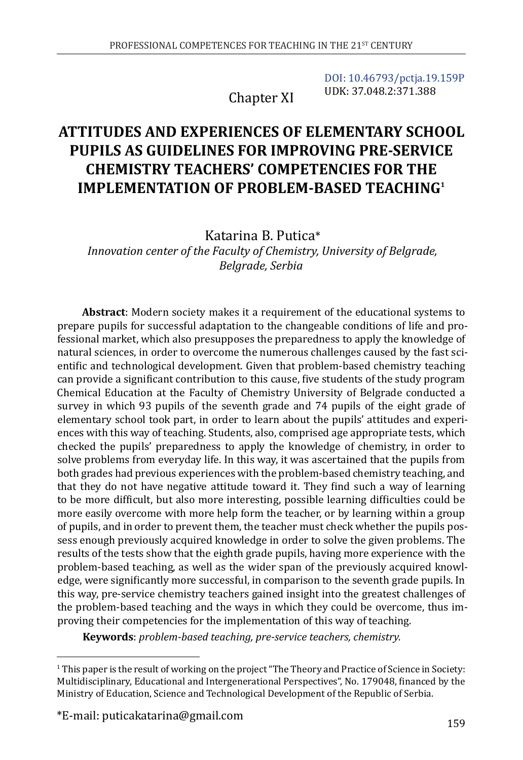Chapter XI

[DOI: 10.46793/pctja.19.159P](https://doi.org/10.46793/pctja.19.159P) UDK: 37.048.2:371.388

# **ATTITUDES AND EXPERIENCES OF ELEMENTARY SCHOOL PUPILS AS GUIDELINES FOR IMPROVING PRE-SERVICE CHEMISTRY TEACHERS' COMPETENCIES FOR THE IMPLEMENTATION OF PROBLEM-BASED TEACHING1**

Katarina B. Putica\*

*Innovation center of the Faculty of Chemistry, University of Belgrade, Belgrade, Serbia*

**Abstract**: Modern society makes it a requirement of the educational systems to prepare pupils for successful adaptation to the changeable conditions of life and professional market, which also presupposes the preparedness to apply the knowledge of natural sciences, in order to overcome the numerous challenges caused by the fast scientific and technological development. Given that problem-based chemistry teaching can provide a significant contribution to this cause, five students of the study program Chemical Education at the Faculty of Chemistry University of Belgrade conducted a survey in which 93 pupils of the seventh grade and 74 pupils of the eight grade of elementary school took part, in order to learn about the pupils' attitudes and experiences with this way of teaching. Students, also, comprised age appropriate tests, which checked the pupils' preparedness to apply the knowledge of chemistry, in order to solve problems from everyday life. In this way, it was ascertained that the pupils from both grades had previous experiences with the problem-based chemistry teaching, and that they do not have negative attitude toward it. They find such a way of learning to be more difficult, but also more interesting, possible learning difficulties could be more easily overcome with more help form the teacher, or by learning within a group of pupils, and in order to prevent them, the teacher must check whether the pupils possess enough previously acquired knowledge in order to solve the given problems. The results of the tests show that the eighth grade pupils, having more experience with the problem-based teaching, as well as the wider span of the previously acquired knowledge, were significantly more successful, in comparison to the seventh grade pupils. In this way, pre-service chemistry teachers gained insight into the greatest challenges of the problem-based teaching and the ways in which they could be overcome, thus improving their competencies for the implementation of this way of teaching.

**Keywords**: *problem-based teaching, pre-service teachers, chemistry.*

<sup>1</sup> This paper is the result of working on the project "The Theory and Practice of Science in Society: Multidisciplinary, Educational and Intergenerational Perspectives", No. 179048, financed by the Ministry of Education, Science and Technological Development of the Republic of Serbia.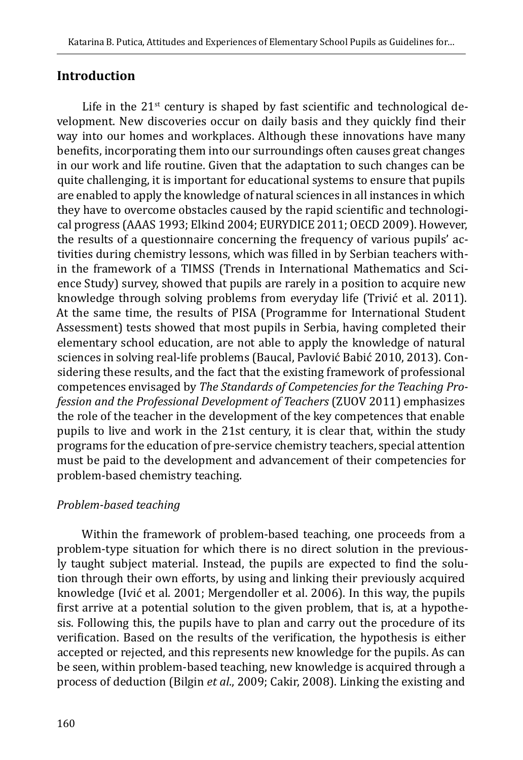## **Introduction**

Life in the  $21^{st}$  century is shaped by fast scientific and technological development. New discoveries occur on daily basis and they quickly find their way into our homes and workplaces. Although these innovations have many benefits, incorporating them into our surroundings often causes great changes in our work and life routine. Given that the adaptation to such changes can be quite challenging, it is important for educational systems to ensure that pupils are enabled to apply the knowledge of natural sciences in all instances in which they have to overcome obstacles caused by the rapid scientific and technological progress (AAAS 1993; Elkind 2004; EURYDICE 2011; OECD 2009). However, the results of a questionnaire concerning the frequency of various pupils' activities during chemistry lessons, which was filled in by Serbian teachers within the framework of a TIMSS (Trends in International Mathematics and Science Study) survey, showed that pupils are rarely in a position to acquire new knowledge through solving problems from everyday life (Trivić et al. 2011). At the same time, the results of PISA (Programme for International Student Assessment) tests showed that most pupils in Serbia, having completed their elementary school education, are not able to apply the knowledge of natural sciences in solving real-life problems (Baucal, Pavlović Babić 2010, 2013). Considering these results, and the fact that the existing framework of professional competences envisaged by *The Standards of Competencies for the Teaching Profession and the Professional Development of Teachers* (ZUOV 2011) emphasizes the role of the teacher in the development of the key competences that enable pupils to live and work in the 21st century, it is clear that, within the study programs for the education of pre-service chemistry teachers, special attention must be paid to the development and advancement of their competencies for problem-based chemistry teaching.

## *Problem-based teaching*

Within the framework of problem-based teaching, one proceeds from a problem-type situation for which there is no direct solution in the previously taught subject material. Instead, the pupils are expected to find the solution through their own efforts, by using and linking their previously acquired knowledge (Ivić et al. 2001; Mergendoller et al. 2006). In this way, the pupils first arrive at a potential solution to the given problem, that is, at a hypothesis. Following this, the pupils have to plan and carry out the procedure of its verification. Based on the results of the verification, the hypothesis is either accepted or rejected, and this represents new knowledge for the pupils. As can be seen, within problem-based teaching, new knowledge is acquired through a process of deduction (Bilgin *et al*., 2009; Cakir, 2008). Linking the existing and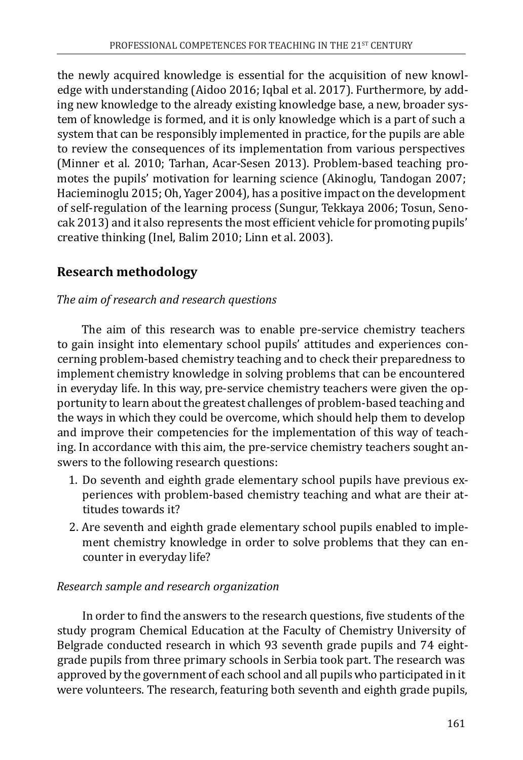the newly acquired knowledge is essential for the acquisition of new knowledge with understanding (Aidoo 2016; Iqbal et al. 2017). Furthermore, by adding new knowledge to the already existing knowledge base, a new, broader system of knowledge is formed, and it is only knowledge which is a part of such a system that can be responsibly implemented in practice, for the pupils are able to review the consequences of its implementation from various perspectives (Minner et al. 2010; Tarhan, Acar-Sesen 2013). Problem-based teaching promotes the pupils' motivation for learning science (Akinoglu, Tandogan 2007; Hacieminoglu 2015; Oh, Yager 2004), has a positive impact on the development of self-regulation of the learning process (Sungur, Tekkaya 2006; Tosun, Senocak 2013) and it also represents the most efficient vehicle for promoting pupils' creative thinking (Inel, Balim 2010; Linn et al. 2003).

# **Research methodology**

#### *The aim of research and research questions*

The aim of this research was to enable pre-service chemistry teachers to gain insight into elementary school pupils' attitudes and experiences concerning problem-based chemistry teaching and to check their preparedness to implement chemistry knowledge in solving problems that can be encountered in everyday life. In this way, pre-service chemistry teachers were given the opportunity to learn about the greatest challenges of problem-based teaching and the ways in which they could be overcome, which should help them to develop and improve their competencies for the implementation of this way of teaching. In accordance with this aim, the pre-service chemistry teachers sought answers to the following research questions:

- 1. Do seventh and eighth grade elementary school pupils have previous experiences with problem-based chemistry teaching and what are their attitudes towards it?
- 2. Are seventh and eighth grade elementary school pupils enabled to implement chemistry knowledge in order to solve problems that they can encounter in everyday life?

#### *Research sample and research organization*

In order to find the answers to the research questions, five students of the study program Chemical Education at the Faculty of Chemistry University of Belgrade conducted research in which 93 seventh grade pupils and 74 eightgrade pupils from three primary schools in Serbia took part. The research was approved by the government of each school and all pupils who participated in it were volunteers. The research, featuring both seventh and eighth grade pupils,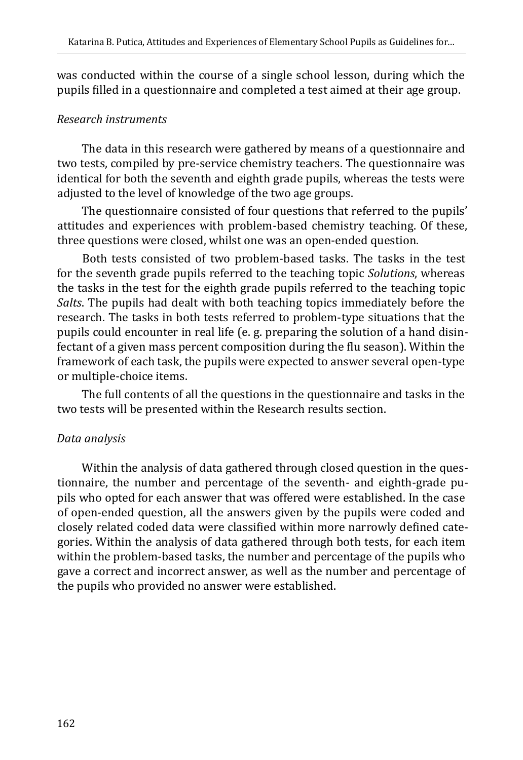was conducted within the course of a single school lesson, during which the pupils filled in a questionnaire and completed a test aimed at their age group.

#### *Research instruments*

The data in this research were gathered by means of a questionnaire and two tests, compiled by pre-service chemistry teachers. The questionnaire was identical for both the seventh and eighth grade pupils, whereas the tests were adjusted to the level of knowledge of the two age groups.

The questionnaire consisted of four questions that referred to the pupils' attitudes and experiences with problem-based chemistry teaching. Of these, three questions were closed, whilst one was an open-ended question.

Both tests consisted of two problem-based tasks. The tasks in the test for the seventh grade pupils referred to the teaching topic *Solutions*, whereas the tasks in the test for the eighth grade pupils referred to the teaching topic *Salts*. The pupils had dealt with both teaching topics immediately before the research. The tasks in both tests referred to problem-type situations that the pupils could encounter in real life (e. g. preparing the solution of a hand disinfectant of a given mass percent composition during the flu season). Within the framework of each task, the pupils were expected to answer several open-type or multiple-choice items.

The full contents of all the questions in the questionnaire and tasks in the two tests will be presented within the Research results section.

#### *Data analysis*

Within the analysis of data gathered through closed question in the questionnaire, the number and percentage of the seventh- and eighth-grade pupils who opted for each answer that was offered were established. In the case of open-ended question, all the answers given by the pupils were coded and closely related coded data were classified within more narrowly defined categories. Within the analysis of data gathered through both tests, for each item within the problem-based tasks, the number and percentage of the pupils who gave a correct and incorrect answer, as well as the number and percentage of the pupils who provided no answer were established.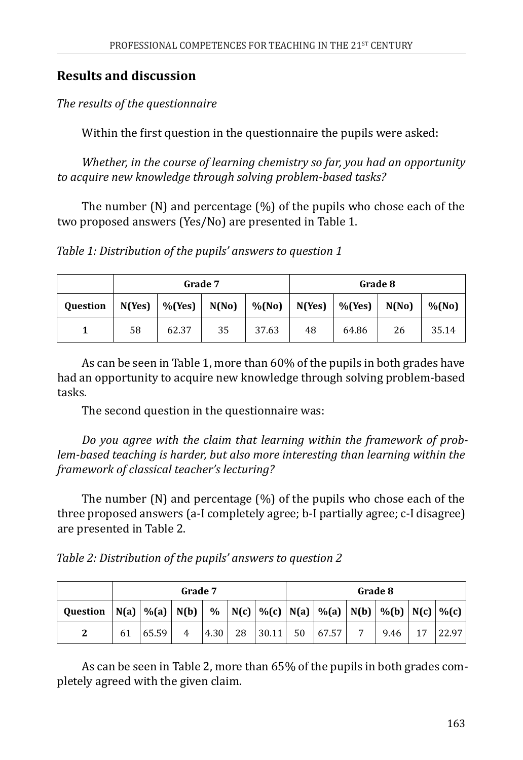# **Results and discussion**

*The results of the questionnaire*

Within the first question in the questionnaire the pupils were asked:

*Whether, in the course of learning chemistry so far, you had an opportunity to acquire new knowledge through solving problem-based tasks?*

The number (N) and percentage (%) of the pupils who chose each of the two proposed answers (Yes/No) are presented in Table 1.

*Table 1: Distribution of the pupils' answers to question 1*

|                 | Grade 7 |                         |       |       |    | Grade 8                     |       |          |  |
|-----------------|---------|-------------------------|-------|-------|----|-----------------------------|-------|----------|--|
| <b>Question</b> | N(Yes)  | $\vert\%$ (Yes) $\vert$ | N(No) |       |    | $\%$ (No)   N(Yes)   %(Yes) | N(No) | $%$ (No) |  |
|                 | 58      | 62.37                   | 35    | 37.63 | 48 | 64.86                       | 26    | 35.14    |  |

As can be seen in Table 1, more than 60% of the pupils in both grades have had an opportunity to acquire new knowledge through solving problem-based tasks.

The second question in the questionnaire was:

*Do you agree with the claim that learning within the framework of problem-based teaching is harder, but also more interesting than learning within the framework of classical teacher's lecturing?*

The number (N) and percentage (%) of the pupils who chose each of the three proposed answers (а-I completely agree; b-I partially agree; c-I disagree) are presented in Table 2.

*Table 2: Distribution of the pupils' answers to question 2*

|                 |    | Grade 7 |   |      |    |       | Grade 8 |                                                                                  |   |      |    |       |
|-----------------|----|---------|---|------|----|-------|---------|----------------------------------------------------------------------------------|---|------|----|-------|
| <b>Ouestion</b> |    |         |   |      |    |       |         | N(a)   %(a)   N(b)     %   N(c)   %(c)   N(a)   %(a)   N(b)   %(b)   N(c)   %(c) |   |      |    |       |
| 2               | 61 | 65.59   | 4 | 4.30 | 28 | 30.11 |         | 50   67.57                                                                       | 7 | 9.46 | 17 | 22.97 |

As can be seen in Table 2, more than 65% of the pupils in both grades completely agreed with the given claim.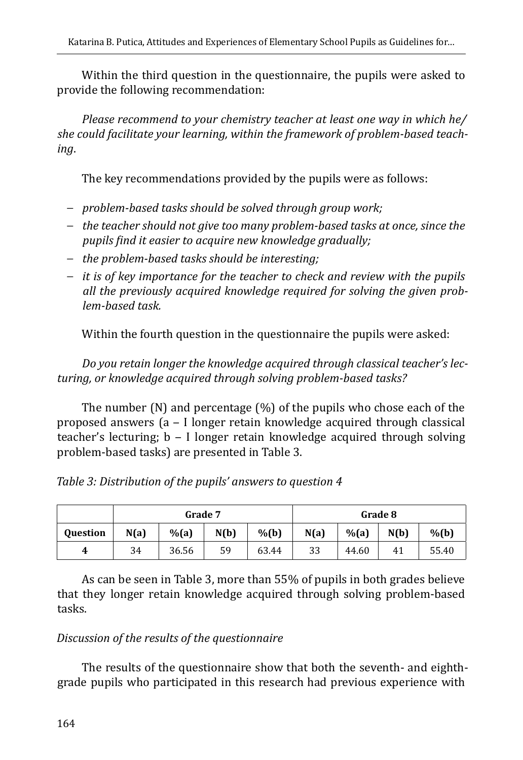Within the third question in the questionnaire, the pupils were asked to provide the following recommendation:

*Please recommend to your chemistry teacher at least one way in which he/ she could facilitate your learning, within the framework of problem-based teaching*.

The key recommendations provided by the pupils were as follows:

- − *problem-based tasks should be solved through group work;*
- − *the teacher should not give too many problem-based tasks at once, since the pupils find it easier to acquire new knowledge gradually;*
- − *the problem-based tasks should be interesting;*
- − *it is of key importance for the teacher to check and review with the pupils all the previously acquired knowledge required for solving the given problem-based task.*

Within the fourth question in the questionnaire the pupils were asked:

*Do you retain longer the knowledge acquired through classical teacher's lecturing, or knowledge acquired through solving problem-based tasks?*

The number (N) and percentage (%) of the pupils who chose each of the proposed answers (a - I longer retain knowledge acquired through classical teacher's lecturing; b ‒ I longer retain knowledge acquired through solving problem-based tasks) are presented in Table 3.

|  |  | Table 3: Distribution of the pupils' answers to question 4 |
|--|--|------------------------------------------------------------|
|--|--|------------------------------------------------------------|

|                 | Grade 7 |           |      |         | Grade 8 |           |      |                    |
|-----------------|---------|-----------|------|---------|---------|-----------|------|--------------------|
| <b>Ouestion</b> | N(a)    | $%$ $(a)$ | N(b) | $%$ (b) | N(a)    | $%$ $(a)$ | N(b) | $%$ <sub>(b)</sub> |
| 4               | 34      | 36.56     | 59   | 63.44   | 33      | 44.60     | 41   | 55.40              |

As can be seen in Table 3, more than 55% of pupils in both grades believe that they longer retain knowledge acquired through solving problem-based tasks.

#### *Discussion of the results of the questionnaire*

The results of the questionnaire show that both the seventh- and eighthgrade pupils who participated in this research had previous experience with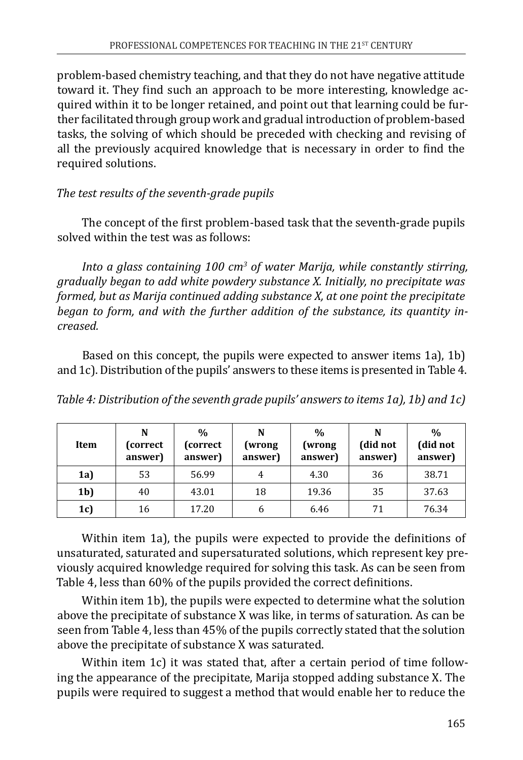problem-based chemistry teaching, and that they do not have negative attitude toward it. They find such an approach to be more interesting, knowledge acquired within it to be longer retained, and point out that learning could be further facilitated through group work and gradual introduction of problem-based tasks, the solving of which should be preceded with checking and revising of all the previously acquired knowledge that is necessary in order to find the required solutions.

*The test results of the seventh-grade pupils*

The concept of the first problem-based task that the seventh-grade pupils solved within the test was as follows:

Into a glass containing 100 cm<sup>3</sup> of water Marija, while constantly stirring, *gradually began to add white powdery substance X. Initially, no precipitate was formed, but as Marija continued adding substance X, at one point the precipitate began to form, and with the further addition of the substance, its quantity increased.* 

Based on this concept, the pupils were expected to answer items 1a), 1b) and 1c). Distribution of the pupils' answers to these items is presented in Table 4.

| Table 4: Distribution of the seventh grade pupils' answers to items 1a), 1b) and 1c) |  |
|--------------------------------------------------------------------------------------|--|
|--------------------------------------------------------------------------------------|--|

| Item           | N<br>(correct)<br>answer) | $\frac{0}{0}$<br>(correct<br>answer) | N<br>(wrong<br>answer) | $\frac{0}{0}$<br>(wrong<br>answer) | N<br>(did not<br>answer) | $\frac{0}{0}$<br>(did not<br>answer) |
|----------------|---------------------------|--------------------------------------|------------------------|------------------------------------|--------------------------|--------------------------------------|
| 1a             | 53                        | 56.99                                | 4                      | 4.30                               | 36                       | 38.71                                |
| 1 <sub>b</sub> | 40                        | 43.01                                | 18                     | 19.36                              | 35                       | 37.63                                |
| 1c             | 16                        | 17.20                                | 6                      | 6.46                               | 71                       | 76.34                                |

Within item 1a), the pupils were expected to provide the definitions of unsaturated, saturated and supersaturated solutions, which represent key previously acquired knowledge required for solving this task. As can be seen from Table 4, less than 60% of the pupils provided the correct definitions.

Within item 1b), the pupils were expected to determine what the solution above the precipitate of substance X was like, in terms of saturation. As can be seen from Table 4, less than 45% of the pupils correctly stated that the solution above the precipitate of substance Х was saturated.

Within item 1c) it was stated that, after a certain period of time following the appearance of the precipitate, Marija stopped adding substance Х. The pupils were required to suggest a method that would enable her to reduce the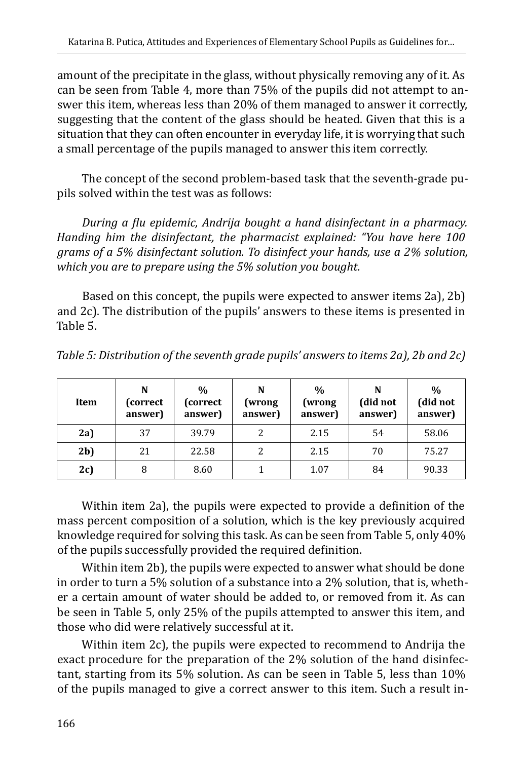amount of the precipitate in the glass, without physically removing any of it. As can be seen from Table 4, more than 75% of the pupils did not attempt to answer this item, whereas less than 20% of them managed to answer it correctly, suggesting that the content of the glass should be heated. Given that this is a situation that they can often encounter in everyday life, it is worrying that such a small percentage of the pupils managed to answer this item correctly.

The concept of the second problem-based task that the seventh-grade pupils solved within the test was as follows:

*During a flu epidemic, Andrija bought a hand disinfectant in a pharmacy. Handing him the disinfectant, the pharmacist explained: "You have here 100 grams of a 5% disinfectant solution. To disinfect your hands, use a 2% solution, which you are to prepare using the 5% solution you bought.* 

Based on this concept, the pupils were expected to answer items 2a), 2b) and 2c). The distribution of the pupils' answers to these items is presented in Table 5.

| Item           | N<br>(correct)<br>answer) | $\frac{0}{0}$<br>(correct<br>answer) | N<br>(wrong<br>answer) | $\%$<br>(wrong<br>answer) | N<br>(did not<br>answer) | $\%$<br>(did not<br>answer) |
|----------------|---------------------------|--------------------------------------|------------------------|---------------------------|--------------------------|-----------------------------|
| 2a             | 37                        | 39.79                                | 2                      | 2.15                      | 54                       | 58.06                       |
| 2 <sub>b</sub> | 21                        | 22.58                                | 2                      | 2.15                      | 70                       | 75.27                       |
| 2c             | 8                         | 8.60                                 |                        | 1.07                      | 84                       | 90.33                       |

Within item 2a), the pupils were expected to provide a definition of the mass percent composition of a solution, which is the key previously acquired knowledge required for solving this task. As can be seen from Table 5, only 40% of the pupils successfully provided the required definition.

Within item 2b), the pupils were expected to answer what should be done in order to turn a 5% solution of a substance into a 2% solution, that is, whether a certain amount of water should be added to, or removed from it. As can be seen in Table 5, only 25% of the pupils attempted to answer this item, and those who did were relatively successful at it.

Within item 2c), the pupils were expected to recommend to Andrija the exact procedure for the preparation of the 2% solution of the hand disinfectant, starting from its 5% solution. As can be seen in Table 5, less than 10% of the pupils managed to give a correct answer to this item. Such a result in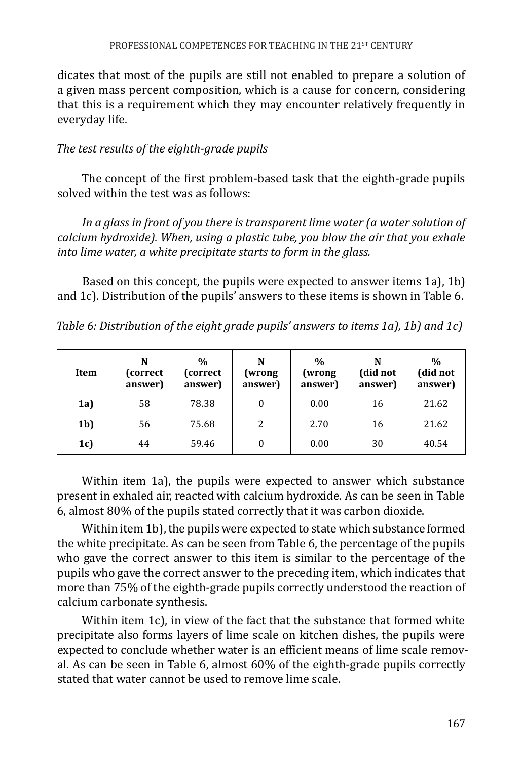dicates that most of the pupils are still not enabled to prepare a solution of a given mass percent composition, which is a cause for concern, considering that this is a requirement which they may encounter relatively frequently in everyday life.

#### *The test results of the eighth-grade pupils*

The concept of the first problem-based task that the eighth-grade pupils solved within the test was as follows:

In a glass in front of you there is transparent lime water (a water solution of *calcium hydroxide). When, using a plastic tube, you blow the air that you exhale into lime water, a white precipitate starts to form in the glass.* 

Based on this concept, the pupils were expected to answer items 1a), 1b) and 1c). Distribution of the pupils' answers to these items is shown in Table 6.

| Table 6: Distribution of the eight grade pupils' answers to items 1a), 1b) and 1c) |  |  |  |  |
|------------------------------------------------------------------------------------|--|--|--|--|
|                                                                                    |  |  |  |  |

| Item           | N<br>(correct)<br>answer) | $\frac{0}{0}$<br>(correct<br>answer) | N<br>(wrong)<br>answer) | $\frac{0}{0}$<br>(wrong<br>answer) | N<br>(did not<br>answer) | $\frac{0}{0}$<br>(did not<br>answer) |
|----------------|---------------------------|--------------------------------------|-------------------------|------------------------------------|--------------------------|--------------------------------------|
| 1a             | 58                        | 78.38                                |                         | 0.00                               | 16                       | 21.62                                |
| 1 <sub>b</sub> | 56                        | 75.68                                | 2                       | 2.70                               | 16                       | 21.62                                |
| 1c             | 44                        | 59.46                                |                         | 0.00                               | 30                       | 40.54                                |

Within item 1а), the pupils were expected to answer which substance present in exhaled air, reacted with calcium hydroxide. As can be seen in Table 6, almost 80% of the pupils stated correctly that it was carbon dioxide.

Within item 1b), the pupils were expected to state which substance formed the white precipitate. As can be seen from Table 6, the percentage of the pupils who gave the correct answer to this item is similar to the percentage of the pupils who gave the correct answer to the preceding item, which indicates that more than 75% of the eighth-grade pupils correctly understood the reaction of calcium carbonate synthesis.

Within item 1c), in view of the fact that the substance that formed white precipitate also forms layers of lime scale on kitchen dishes, the pupils were expected to conclude whether water is an efficient means of lime scale removal. As can be seen in Table 6, almost 60% of the eighth-grade pupils correctly stated that water cannot be used to remove lime scale.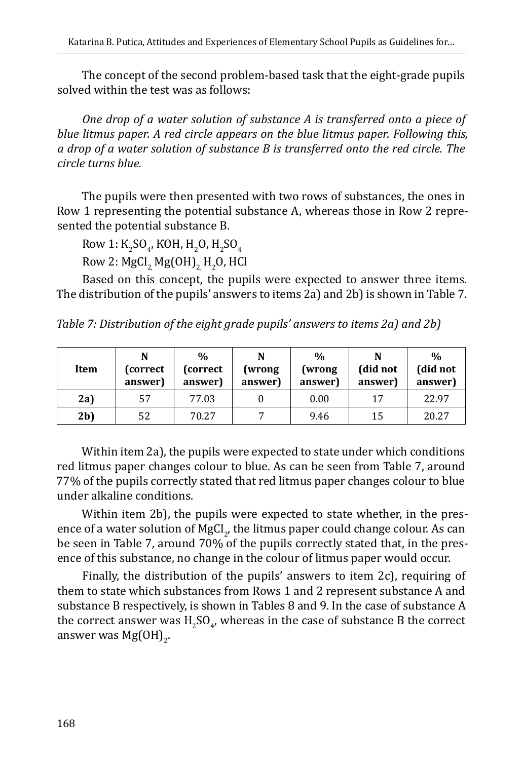The concept of the second problem-based task that the eight-grade pupils solved within the test was as follows:

*One drop of a water solution of substance A is transferred onto a piece of blue litmus paper. A red circle appears on the blue litmus paper. Following this, a drop of a water solution of substance B is transferred onto the red circle. The circle turns blue.* 

The pupils were then presented with two rows of substances, the ones in Row 1 representing the potential substance А, whereas those in Row 2 represented the potential substance B.

Row 1:  $K_2SO_4$ , KOH, H<sub>2</sub>O, H<sub>2</sub>SO<sub>4</sub>

Row 2: MgCl $_{2}$ , Mg(OH) $_{2}$ , H $_{2}$ O, HCl

Based on this concept, the pupils were expected to answer three items. The distribution of the pupils' answers to items 2a) and 2b) is shown in Table 7.

*Table 7: Distribution of the eight grade pupils' answers to items 2a) and 2b)*

| Item           | N<br>(correct)<br>answer) | $\frac{0}{0}$<br>(correct)<br>answer) | N<br>(wrong<br>answer) | $\frac{0}{0}$<br>(wrong<br>answer) | N<br>(did not<br>answer) | $\frac{0}{0}$<br>(did not<br>answer) |
|----------------|---------------------------|---------------------------------------|------------------------|------------------------------------|--------------------------|--------------------------------------|
| 2a             | 57                        | 77.03                                 |                        | 0.00                               | 17                       | 22.97                                |
| 2 <sub>b</sub> | 52                        | 70.27                                 |                        | 9.46                               | 15                       | 20.27                                |

Within item 2a), the pupils were expected to state under which conditions red litmus paper changes colour to blue. As can be seen from Table 7, around 77% of the pupils correctly stated that red litmus paper changes colour to blue under alkaline conditions.

Within item 2b), the pupils were expected to state whether, in the presence of a water solution of MgCl<sub>2</sub>, the litmus paper could change colour. As can be seen in Table 7, around 70% of the pupils correctly stated that, in the presence of this substance, no change in the colour of litmus paper would occur.

Finally, the distribution of the pupils' answers to item 2c), requiring of them to state which substances from Rows 1 and 2 represent substance А and substance B respectively, is shown in Tables 8 and 9. In the case of substance A the correct answer was  $H_2SO_q$ , whereas in the case of substance B the correct answer was Mg(OH)<sub>2</sub>.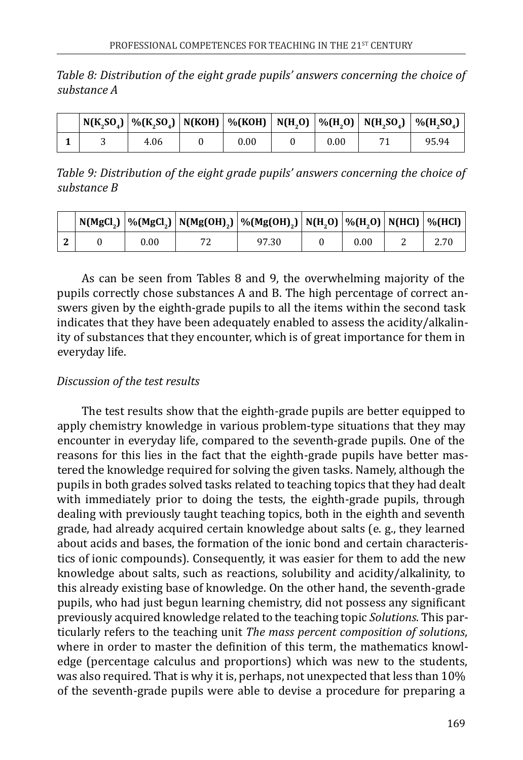*Table 8: Distribution of the eight grade pupils' answers concerning the choice of substance A*

|  |      |      |      | $\mid$ N(K_SO_) $\mid$ %(K_SO_) $\mid$ N(KOH) $\mid$ %(KOH) $\mid$ N(H_O) $\mid$ %(H_O) $\mid$ N(H_SO_) $\mid$ %(H_SO_) $\mid$ |
|--|------|------|------|--------------------------------------------------------------------------------------------------------------------------------|
|  | 4.06 | 0.00 | 0.00 | 95.94                                                                                                                          |

*Table 9: Distribution of the eight grade pupils' answers concerning the choice of substance B*

|  |      | $\mid$ N(MgCl,) $\mid$ %(MgCl,) $\mid$ N(Mg(OH),) $\mid$ %(Mg(OH),) $\mid$ N(H,O) $\mid$ %(H,O) $\mid$ N(HCl) $\mid$ %(HCl) $\mid$ |      |  |
|--|------|------------------------------------------------------------------------------------------------------------------------------------|------|--|
|  | 0.00 | 97.30                                                                                                                              | 0.00 |  |

As can be seen from Tables 8 and 9, the overwhelming majority of the pupils correctly chose substances А and B. The high percentage of correct answers given by the eighth-grade pupils to all the items within the second task indicates that they have been adequately enabled to assess the acidity/alkalinity of substances that they encounter, which is of great importance for them in everyday life.

#### *Discussion of the test results*

The test results show that the eighth-grade pupils are better equipped to apply chemistry knowledge in various problem-type situations that they may encounter in everyday life, compared to the seventh-grade pupils. One of the reasons for this lies in the fact that the eighth-grade pupils have better mastered the knowledge required for solving the given tasks. Namely, although the pupils in both grades solved tasks related to teaching topics that they had dealt with immediately prior to doing the tests, the eighth-grade pupils, through dealing with previously taught teaching topics, both in the eighth and seventh grade, had already acquired certain knowledge about salts (e. g., they learned about acids and bases, the formation of the ionic bond and certain characteristics of ionic compounds). Consequently, it was easier for them to add the new knowledge about salts, such as reactions, solubility and acidity/alkalinity, to this already existing base of knowledge. On the other hand, the seventh-grade pupils, who had just begun learning chemistry, did not possess any significant previously acquired knowledge related to the teaching topic *Solutions*. This particularly refers to the teaching unit *The mass percent composition of solutions*, where in order to master the definition of this term, the mathematics knowledge (percentage calculus and proportions) which was new to the students, was also required. That is why it is, perhaps, not unexpected that less than 10% of the seventh-grade pupils were able to devise a procedure for preparing a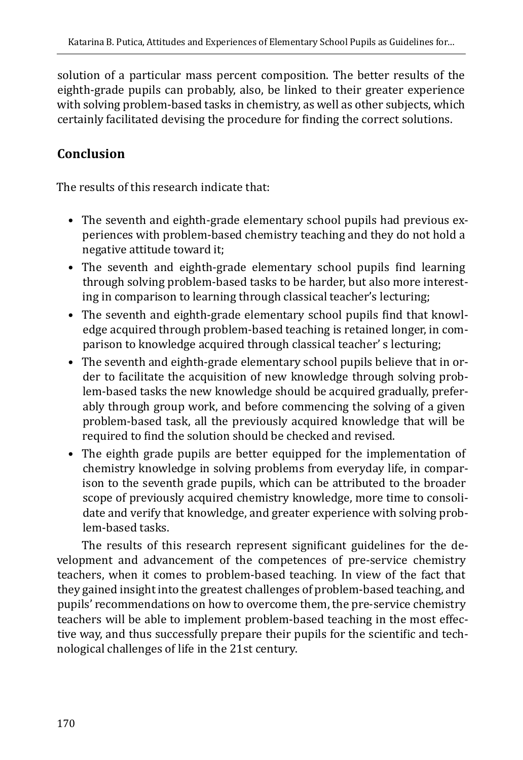solution of a particular mass percent composition. The better results of the eighth-grade pupils can probably, also, be linked to their greater experience with solving problem-based tasks in chemistry, as well as other subjects, which certainly facilitated devising the procedure for finding the correct solutions.

# **Conclusion**

The results of this research indicate that:

- The seventh and eighth-grade elementary school pupils had previous experiences with problem-based chemistry teaching and they do not hold a negative attitude toward it;
- The seventh and eighth-grade elementary school pupils find learning through solving problem-based tasks to be harder, but also more interesting in comparison to learning through classical teacher's lecturing;
- The seventh and eighth-grade elementary school pupils find that knowledge acquired through problem-based teaching is retained longer, in comparison to knowledge acquired through classical teacher' s lecturing;
- The seventh and eighth-grade elementary school pupils believe that in order to facilitate the acquisition of new knowledge through solving problem-based tasks the new knowledge should be acquired gradually, preferably through group work, and before commencing the solving of a given problem-based task, all the previously acquired knowledge that will be required to find the solution should be checked and revised.
- The eighth grade pupils are better equipped for the implementation of chemistry knowledge in solving problems from everyday life, in comparison to the seventh grade pupils, which can be attributed to the broader scope of previously acquired chemistry knowledge, more time to consolidate and verify that knowledge, and greater experience with solving problem-based tasks.

The results of this research represent significant guidelines for the development and advancement of the competences of pre-service chemistry teachers, when it comes to problem-based teaching. In view of the fact that they gained insight into the greatest challenges of problem-based teaching, and pupils' recommendations on how to overcome them, the pre-service chemistry teachers will be able to implement problem-based teaching in the most effective way, and thus successfully prepare their pupils for the scientific and technological challenges of life in the 21st century.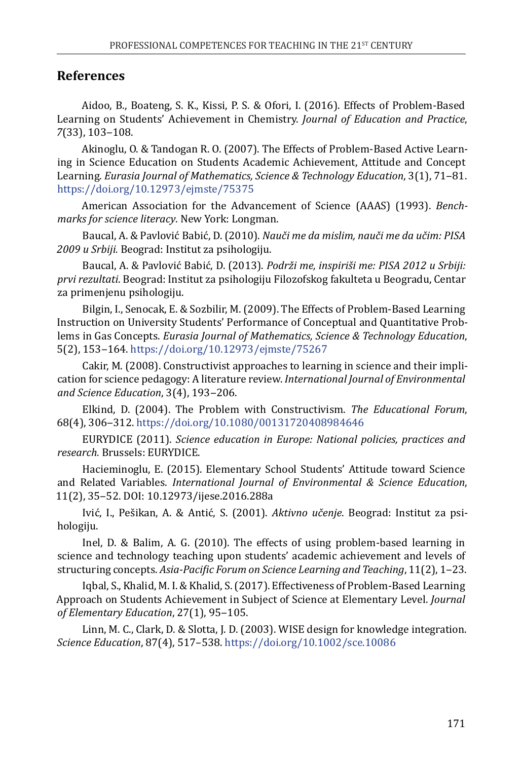#### **References**

Aidoo, B., Boateng, S. K., Kissi, P. S. & Ofori, I. (2016). Effects of Problem-Based Learning on Students' Achievement in Chemistry. *Journal of Education and Practice*, *7*(33), 103‒108.

Akinoglu, O. & Tandogan R. O. (2007). The Effects of Problem-Based Active Learning in Science Education on Students Academic Achievement, Attitude and Concept Learning. *Eurasia Journal of Mathematics, Science & Technology Education*, 3(1), 71–81. <https://doi.org/10.12973/ejmste/75375>

American Association for the Advancement of Science (AAAS) (1993). *Benchmarks for science literacy*. New York: Longman.

Baucal, A. & Pavlović Babić, D. (2010). *Nauči me da mislim, nauči me da učim: PISA 2009 u Srbiji.* Beograd: Institut za psihologiju.

Baucal, A. & Pavlović Babić, D. (2013). *Podrži me, inspiriši me: PISA 2012 u Srbiji: prvi rezultati*. Beograd: Institut za psihologiju Filozofskog fakulteta u Beogradu, Centar za primenjenu psihologiju.

Bilgin, I., Senocak, E. & Sozbilir, M. (2009). The Effects of Problem-Based Learning Instruction on University Students' Performance of Conceptual and Quantitative Problems in Gas Concepts. *Eurasia Journal of Mathematics, Science & Technology Education*, 5(2), 153‒164. <https://doi.org/10.12973/ejmste/75267>

Cakir, M. (2008). Constructivist approaches to learning in science and their implication for science pedagogy: A literature review. *International Journal of Environmental and Science Education*, 3(4), 193‒206.

Elkind, D. (2004). The Problem with Constructivism. *The Educational Forum*, 68(4), 306‒312. <https://doi.org/10.1080/00131720408984646>

EURYDICE (2011). *Science education in Europe: National policies, practices and research.* Brussels: EURYDICE.

Hacieminoglu, E. (2015). Elementary School Students' Attitude toward Science and Related Variables. *International Journal of Environmental & Science Education*, 11(2), 35‒52. DOI: 10.12973/ijese.2016.288a

Ivić, I., Pešikan, A. & Antić, S. (2001). *Aktivno učenje*. Beograd: Institut za psihologiju.

Inel, D. & Balim, A. G. (2010). The effects of using problem-based learning in science and technology teaching upon students' academic achievement and levels of structuring concepts. *Asia-Pacific Forum on Science Learning and Teaching*, 11(2), 1‒23.

Iqbal, S., Khalid, M. I. & Khalid, S. (2017). Effectiveness of Problem-Based Learning Approach on Students Achievement in Subject of Science at Elementary Level. *Journal*  of Elementary Education, 27(1), 95-105.

Linn, M. C., Clark, D. & Slotta, J. D. (2003). WISE design for knowledge integration. *Science Education*, 87(4), 517–538.<https://doi.org/10.1002/sce.10086>